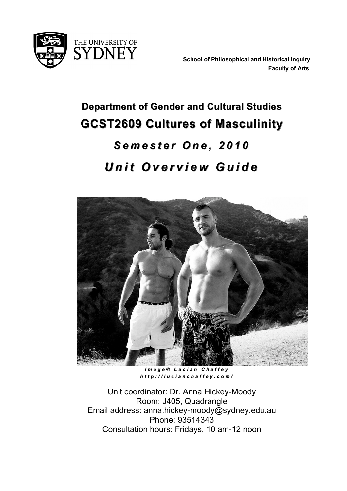

**School of Philosophical and Historical Inquiry Faculty of Arts**

# **Department of Gender and Cultural Studies GCST2609 Cultures of Masculinity GCST2609 Cultures of Masculinity** *S e m e s t e r O n e , 2 0 1 0 S e m e s t e r O n e , 2 0 1 0*

# *U n i t O v e r v i e w G u i d e U n i t O v e r v i e w G u i d e*



*I m a g e © L u c i a n C h a f f e y h t t p : / / l u c i a n c h a f f e y . c o m / h t p : / / n c h f f m /*

Unit coordinator: Dr. Anna Hickey-Moody Room: J405, Quadrangle Email address: anna.hickey-moody@sydney.edu.au Phone: 93514343 Consultation hours: Fridays, 10 am-12 noon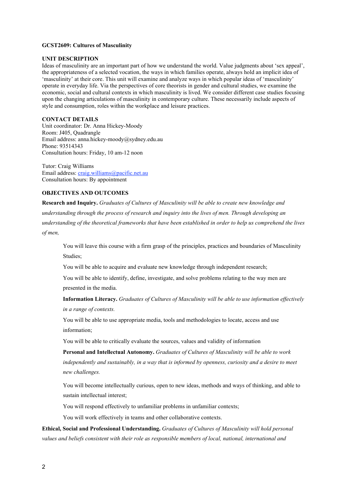#### **GCST2609: Cultures of Masculinity**

#### **UNIT DESCRIPTION**

Ideas of masculinity are an important part of how we understand the world. Value judgments about 'sex appeal', the appropriateness of a selected vocation, the ways in which families operate, always hold an implicit idea of 'masculinity' at their core. This unit will examine and analyze ways in which popular ideas of 'masculinity' operate in everyday life. Via the perspectives of core theorists in gender and cultural studies, we examine the economic, social and cultural contexts in which masculinity is lived. We consider different case studies focusing upon the changing articulations of masculinity in contemporary culture. These necessarily include aspects of style and consumption, roles within the workplace and leisure practices.

#### **CONTACT DETAILS**

Unit coordinator: Dr. Anna Hickey-Moody Room: J405, Quadrangle Email address: anna.hickey-moody@sydney.edu.au Phone: 93514343 Consultation hours: Friday, 10 am-12 noon

Tutor: Craig Williams Email address: craig.williams@pacific.net.au Consultation hours: By appointment

#### **OBJECTIVES AND OUTCOMES**

**Research and Inquiry.** *Graduates of Cultures of Masculinity will be able to create new knowledge and understanding through the process of research and inquiry into the lives of men. Through developing an understanding of the theoretical frameworks that have been established in order to help us comprehend the lives of men,* 

You will leave this course with a firm grasp of the principles, practices and boundaries of Masculinity Studies;

You will be able to acquire and evaluate new knowledge through independent research;

You will be able to identify, define, investigate, and solve problems relating to the way men are presented in the media.

**Information Literacy.** *Graduates of Cultures of Masculinity will be able to use information effectively in a range of contexts.*

You will be able to use appropriate media, tools and methodologies to locate, access and use information;

You will be able to critically evaluate the sources, values and validity of information

**Personal and Intellectual Autonomy.** *Graduates of Cultures of Masculinity will be able to work independently and sustainably, in a way that is informed by openness, curiosity and a desire to meet new challenges.*

You will become intellectually curious, open to new ideas, methods and ways of thinking, and able to sustain intellectual interest;

You will respond effectively to unfamiliar problems in unfamiliar contexts;

You will work effectively in teams and other collaborative contexts.

**Ethical, Social and Professional Understanding.** *Graduates of Cultures of Masculinity will hold personal values and beliefs consistent with their role as responsible members of local, national, international and*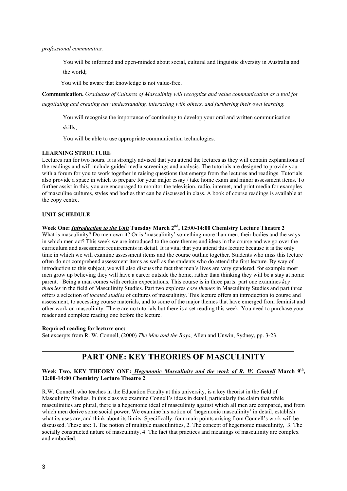#### *professional communities.*

You will be informed and open-minded about social, cultural and linguistic diversity in Australia and the world;

You will be aware that knowledge is not value-free.

**Communication.** *Graduates of Cultures of Masculinity will recognize and value communication as a tool for negotiating and creating new understanding, interacting with others, and furthering their own learning.*

You will recognise the importance of continuing to develop your oral and written communication

skills;

You will be able to use appropriate communication technologies.

#### **LEARNING STRUCTURE**

Lectures run for two hours. It is strongly advised that you attend the lectures as they will contain explanations of the readings and will include guided media screenings and analysis. The tutorials are designed to provide you with a forum for you to work together in raising questions that emerge from the lectures and readings. Tutorials also provide a space in which to prepare for your major essay / take home exam and minor assessment items. To further assist in this, you are encouraged to monitor the television, radio, internet, and print media for examples of masculine cultures, styles and bodies that can be discussed in class. A book of course readings is available at the copy centre.

#### **UNIT SCHEDULE**

# **Week One:** *Introduction to the Unit* **Tuesday March 2nd, 12:00-14:00 Chemistry Lecture Theatre 2**

What is masculinity? Do men own it? Or is 'masculinity' something more than men, their bodies and the ways in which men act? This week we are introduced to the core themes and ideas in the course and we go over the curriculum and assessment requirements in detail. It is vital that you attend this lecture because it is the only time in which we will examine assessment items and the course outline together. Students who miss this lecture often do not comprehend assessment items as well as the students who do attend the first lecture. By way of introduction to this subject, we will also discuss the fact that men's lives are very gendered, for example most men grow up believing they will have a career outside the home, rather than thinking they will be a stay at home parent. –Being a man comes with certain expectations. This course is in three parts: part one examines *key theories* in the field of Masculinity Studies. Part two explores *core themes* in Masculinity Studies and part three offers a selection of *located studies* of cultures of masculinity. This lecture offers an introduction to course and assessment, to accessing course materials, and to some of the major themes that have emerged from feminist and other work on masculinity. There are no tutorials but there is a set reading this week. You need to purchase your reader and complete reading one before the lecture.

#### **Required reading for lecture one:**

Set excerpts from R. W. Connell, (2000) *The Men and the Boys*, Allen and Unwin, Sydney, pp. 3-23.

# **PART ONE: KEY THEORIES OF MASCULINITY**

# Week Two, KEY THEORY ONE: *Hegemonic Masculinity and the work of R. W. Connell* March 9<sup>th</sup>, **12:00-14:00 Chemistry Lecture Theatre 2**

R.W. Connell, who teaches in the Education Faculty at this university, is a key theorist in the field of Masculinity Studies. In this class we examine Connell's ideas in detail, particularly the claim that while masculinities are plural, there is a hegemonic ideal of masculinity against which all men are compared, and from which men derive some social power. We examine his notion of 'hegemonic masculinity' in detail, establish what its uses are, and think about its limits. Specifically, four main points arising from Connell's work will be discussed. These are: 1. The notion of multiple masculinities, 2. The concept of hegemonic masculinity, 3. The socially constructed nature of masculinity, 4. The fact that practices and meanings of masculinity are complex and embodied.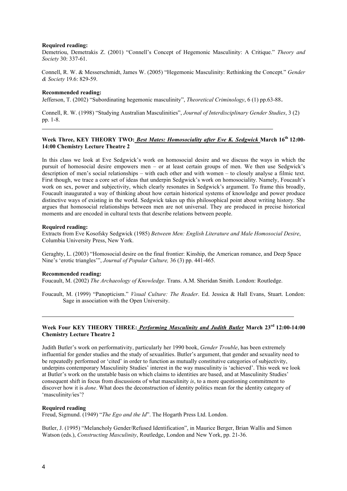#### **Required reading:**

Demetriou, Demetrakis Z. (2001) "Connell's Concept of Hegemonic Masculinity: A Critique." *Theory and Society* 30: 337-61.

Connell, R. W. & Messerschmidt, James W. (2005) "Hegemonic Masculinity: Rethinking the Concept." *Gender & Society* 19.6: 829-59.

#### **Recommended reading:**

Jefferson, T. (2002) "Subordinating hegemonic masculinity", *Theoretical Criminology*, 6 (1) pp.63-88.

Connell, R. W. (1998) "Studying Australian Masculinities", *Journal of Interdisciplinary Gender Studies*, 3 (2) pp. 1-8.

# **Week Three, KEY THEORY TWO:** *Best Mates: Homosociality after Eve K. Sedgwick* **March 16th 12:00- 14:00 Chemistry Lecture Theatre 2**

In this class we look at Eve Sedgwick's work on homosocial desire and we discuss the ways in which the pursuit of homosocial desire empowers men – or at least certain groups of men. We then use Sedgwick's description of men's social relationships – with each other and with women – to closely analyse a filmic text. First though, we trace a core set of ideas that underpin Sedgwick's work on homosociality. Namely, Foucault's work on sex, power and subjectivity, which clearly resonates in Sedgwick's argument. To frame this broadly, Foucault inaugurated a way of thinking about how certain historical systems of knowledge and power produce distinctive ways of existing in the world. Sedgwick takes up this philosophical point about writing history. She argues that homosocial relationships between men are not universal. They are produced in precise historical moments and are encoded in cultural texts that describe relations between people.

#### **Required reading:**

Extracts from Eve Kosofsky Sedgwick (1985) *Between Men: English Literature and Male Homosocial Desire*, Columbia University Press, New York.

Geraghty, L. (2003) "Homosocial desire on the final frontier: Kinship, the American romance, and Deep Space Nine's 'erotic triangles'", *Journal of Popular Culture,* 36 (3) pp. 441-465.

#### **Recommended reading:**

Foucault, M. (2002) *The Archaeology of Knowledge*. Trans. A.M. Sheridan Smith. London: Routledge.

Foucault, M. (1999) "Panopticism." *Visual Culture: The Reader*. Ed. Jessica & Hall Evans, Stuart. London: Sage in association with the Open University.

# **Week Four KEY THEORY THREE:** *Performing Masculinity and Judith Butler* **March 23rd 12:00-14:00 Chemistry Lecture Theatre 2**

Judith Butler's work on performativity, particularly her 1990 book, *Gender Trouble*, has been extremely influential for gender studies and the study of sexualities. Butler's argument, that gender and sexuality need to be repeatedly performed or 'cited' in order to function as mutually constitutive categories of subjectivity, underpins contemporary Masculinity Studies' interest in the way masculinity is 'achieved'. This week we look at Butler's work on the unstable basis on which claims to identities are based, and at Masculinity Studies' consequent shift in focus from discussions of what masculinity *is*, to a more questioning commitment to discover how it is *done*. What does the deconstruction of identity politics mean for the identity category of 'masculinity/ies'?

#### **Required reading**

Freud, Sigmund. (1949) "*The Ego and the Id*". The Hogarth Press Ltd. London.

Butler, J. (1995) "Melancholy Gender/Refused Identification", in Maurice Berger, Brian Wallis and Simon Watson (eds.), *Constructing Masculinity*, Routledge, London and New York, pp. 21-36.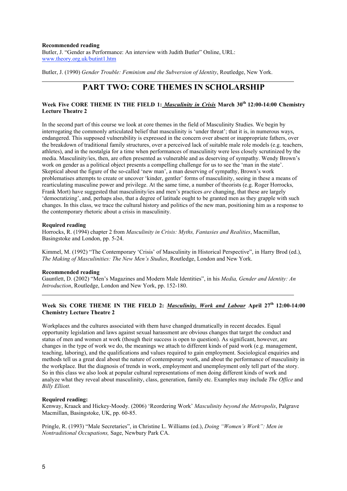#### **Recommended reading** Butler, J. "Gender as Performance: An interview with Judith Butler" Online, URL: www.theory.org.uk/butint1.htm

Butler, J. (1990) *Gender Trouble: Feminism and the Subversion of Identity*, Routledge, New York.

# **PART TWO: CORE THEMES IN SCHOLARSHIP**

# **Week Five CORE THEME IN THE FIELD 1:** *Masculinity in Crisis* **March 30th 12:00-14:00 Chemistry Lecture Theatre 2**

In the second part of this course we look at core themes in the field of Masculinity Studies. We begin by interrogating the commonly articulated belief that masculinity is 'under threat'; that it is, in numerous ways, endangered. This supposed vulnerability is expressed in the concern over absent or inappropriate fathers, over the breakdown of traditional family structures, over a perceived lack of suitable male role models (e.g. teachers, athletes), and in the nostalgia for a time when performances of masculinity were less closely scrutinized by the media. Masculinity/ies, then, are often presented as vulnerable and as deserving of sympathy. Wendy Brown's work on gender as a political object presents a compelling challenge for us to see the 'man in the state'. Skeptical about the figure of the so-called 'new man', a man deserving of sympathy, Brown's work problematises attempts to create or uncover 'kinder, gentler' forms of masculinity, seeing in these a means of rearticulating masculine power and privilege. At the same time, a number of theorists (e.g. Roger Horrocks, Frank Mort) have suggested that masculinity/ies and men's practices *are* changing, that these are largely 'democratizing', and, perhaps also, that a degree of latitude ought to be granted men as they grapple with such changes. In this class, we trace the cultural history and politics of the new man, positioning him as a response to the contemporary rhetoric about a crisis in masculinity.

#### **Required reading**

Horrocks, R. (1994) chapter 2 from *Masculinity in Crisis: Myths, Fantasies and Realities*, Macmillan, Basingstoke and London, pp. 5-24.

Kimmel, M. (1992) "The Contemporary 'Crisis' of Masculinity in Historical Perspective", in Harry Brod (ed.), *The Making of Masculinities: The New Men's Studies*, Routledge, London and New York.

# **Recommended reading**

Gauntlett, D. (2002) "Men's Magazines and Modern Male Identities", in his *Media, Gender and Identity: An Introduction*, Routledge, London and New York, pp. 152-180.

# **Week Six CORE THEME IN THE FIELD 2:** *Masculinity, Work and Labour* **April 27th 12:00-14:00 Chemistry Lecture Theatre 2**

Workplaces and the cultures associated with them have changed dramatically in recent decades. Equal opportunity legislation and laws against sexual harassment are obvious changes that target the conduct and status of men and women at work (though their success is open to question). As significant, however, are changes in the type of work we do, the meanings we attach to different kinds of paid work (e.g. management, teaching, laboring), and the qualifications and values required to gain employment. Sociological enquiries and methods tell us a great deal about the nature of contemporary work, and about the performance of masculinity in the workplace. But the diagnosis of trends in work, employment and unemployment only tell part of the story. So in this class we also look at popular cultural representations of men doing different kinds of work and analyze what they reveal about masculinity, class, generation, family etc. Examples may include *The Office* and *Billy Elliott.*

# **Required reading:**

Kenway, Kraack and Hickey-Moody. (2006) 'Reordering Work' *Masculinity beyond the Metropolis*, Palgrave Macmillan, Basingstoke, UK, pp. 60-85.

Pringle, R. (1993) "Male Secretaries", in Christine L. Williams (ed.), *Doing "Women's Work": Men in Nontraditional Occupations,* Sage, Newbury Park CA.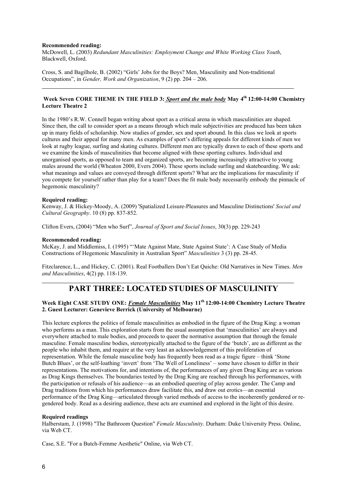#### **Recommended reading:**

McDowell, L. (2003) *Redundant Masculinities: Employment Change and White Working Class Youth*, Blackwell, Oxford.

Cross, S. and Bagilhole, B. (2002) "Girls' Jobs for the Boys? Men, Masculinity and Non-traditional Occupations", in *Gender, Work and Organization*, 9 (2) pp. 204 – 206.

# **Week Seven CORE THEME IN THE FIELD 3:** *Sport and the male body* **May 4th 12:00-14:00 Chemistry Lecture Theatre 2**

In the 1980's R.W. Connell began writing about sport as a critical arena in which masculinities are shaped. Since then, the call to consider sport as a means through which male subjectivities are produced has been taken up in many fields of scholarship. Now studies of gender, sex and sport abound. In this class we look at sports cultures and their appeal for many men. As examples of sport's differing appeals for different kinds of men we look at rugby league, surfing and skating cultures. Different men are typically drawn to each of these sports and we examine the kinds of masculinities that become aligned with these sporting cultures. Individual and unorganised sports, as opposed to team and organized sports, are becoming increasingly attractive to young males around the world (Wheaton 2000, Evers 2004). These sports include surfing and skateboarding. We ask: what meanings and values are conveyed through different sports? What are the implications for masculinity if you compete for yourself rather than play for a team? Does the fit male body necessarily embody the pinnacle of hegemonic masculinity?

# **Required reading:**

Kenway, J. & Hickey-Moody, A. (2009) 'Spatialized Leisure-Pleasures and Masculine Distinctions' *Social and Cultural Geography*. 10 (8) pp. 837-852.

Clifton Evers, (2004) "Men who Surf", *Journal of Sport and Social Issues*, 30(3) pp. 229-243

#### **Recommended reading:**

McKay, J. and Middlemiss, I. (1995) "'Mate Against Mate, State Against State': A Case Study of Media Constructions of Hegemonic Masculinity in Australian Sport" *Masculinities* 3 (3) pp. 28-45.

Fitzclarence, L., and Hickey, C. (2001). Real Footballers Don't Eat Quiche: Old Narratives in New Times. *Men and Masculinities*, 4(2) pp. 118-139.

# **PART THREE: LOCATED STUDIES OF MASCULINITY**

# **Week Eight CASE STUDY ONE:** *Female Masculinities* **May 11th 12:00-14:00 Chemistry Lecture Theatre 2. Guest Lecturer: Genevieve Berrick (University of Melbourne)**

This lecture explores the politics of female masculinities as embodied in the figure of the Drag King: a woman who performs as a man. This exploration starts from the usual assumption that 'masculinities' are always and everywhere attached to male bodies, and proceeds to queer the normative assumption that through the female masculine. Female masculine bodies, stereotypically attached to the figure of the 'butch', are as different as the people who inhabit them, and require at the very least an acknowledgement of this proliferation of representation. While the female masculine body has frequently been read as a tragic figure – think 'Stone Butch Blues', or the self-loathing 'invert' from 'The Well of Loneliness' – some have chosen to differ in their representations. The motivations for, and intentions of, the performances of any given Drag King are as various as Drag Kings themselves. The boundaries tested by the Drag King are reached through his performances, with the participation or refusals of his audience—as an embodied queering of play across gender. The Camp and Drag traditions from which his performances draw facilitate this, and draw out erotics—an essential performance of the Drag King—articulated through varied methods of access to the incoherently gendered or regendered body. Read as a desiring audience, these acts are examined and explored in the light of this desire.

#### **Required readings**

Halberstam, J. (1998) "The Bathroom Question" *Female Masculinity*. Durham: Duke University Press. Online, via Web CT.

Case, S.E. "For a Butch-Femme Aesthetic" Online, via Web CT.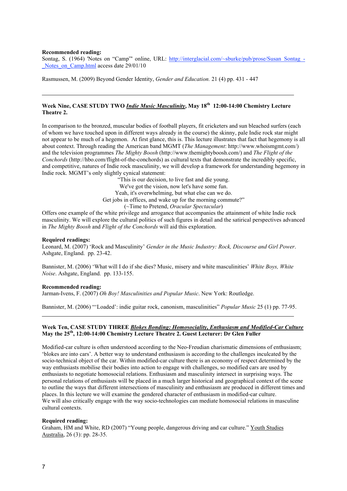#### **Recommended reading:**

Sontag, S. (1964) 'Notes on "Camp"' online, URL: http://interglacial.com/~sburke/pub/prose/Susan\_Sontag\_- Notes on Camp.html access date 29/01/10

Rasmussen, M. (2009) Beyond Gender Identity, *Gender and Education.* 21 (4) pp. 431 - 447

# **Week Nine, CASE STUDY TWO** *Indie Music Masculinity***, May 18th 12:00-14:00 Chemistry Lecture Theatre 2.**

In comparison to the bronzed, muscular bodies of football players, fit cricketers and sun bleached surfers (each of whom we have touched upon in different ways already in the course) the skinny, pale Indie rock star might not appear to be much of a hegemon. At first glance, this is. This lecture illustrates that fact that hegemony is all about context. Through reading the American band MGMT (*The Management*: http://www.whoismgmt.com/) and the television programmes *The Mighty Boosh* (http://www.themightyboosh.com/) and *The Flight of the Conchords* (http://hbo.com/flight-of-the-conchords) as cultural texts that demonstrate the incredibly specific, and competitive, natures of Indie rock masculinity, we will develop a framework for understanding hegemony in Indie rock. MGMT's only slightly cynical statement:

"This is our decision, to live fast and die young. We've got the vision, now let's have some fun. Yeah, it's overwhelming, but what else can we do. Get jobs in offices, and wake up for the morning commute?" (~Time to Pretend, *Oracular Spectacular*)

Offers one example of the white privilege and arrogance that accompanies the attainment of white Indie rock masculinity. We will explore the cultural politics of such figures in detail and the satirical perspectives advanced in *The Mighty Boosh* and *Flight of the Conchords* will aid this exploration.

#### **Required readings:**

Leonard, M. (2007) 'Rock and Masculinity' *Gender in the Music Industry: Rock, Discourse and Girl Power*. Ashgate, England. pp. 23-42.

Bannister, M. (2006) 'What will I do if she dies? Music, misery and white masculinities' *White Boys, White Noise*. Ashgate, England. pp. 133-155.

#### **Recommended reading:**

Jarman-Ivens, F. (2007) *Oh Boy! Masculinities and Popular Music*. New York: Routledge.

Bannister, M. (2006) "'Loaded': indie guitar rock, canonism, masculinities" *Popular Music* 25 (1) pp. 77-95.

# **Week Ten, CASE STUDY THREE** *Blokes Bonding: Homosociality, Enthusiasm and Modified-Car Culture* **May the 25th, 12:00-14:00 Chemistry Lecture Theatre 2. Guest Lecturer: Dr Glen Fuller**

Modified-car culture is often understood according to the Neo-Freudian charismatic dimensions of enthusiasm; 'blokes are into cars'. A better way to understand enthusiasm is according to the challenges inculcated by the socio-technical object of the car. Within modified-car culture there is an economy of respect determined by the way enthusiasts mobilise their bodies into action to engage with challenges, so modified cars are used by enthusiasts to negotiate homosocial relations. Enthusiasm and masculinity intersect in surprising ways. The personal relations of enthusiasts will be placed in a much larger historical and geographical context of the scene to outline the ways that different intersections of masculinity and enthusiasm are produced in different times and places. In this lecture we will examine the gendered character of enthusiasm in modified-car culture. We will also critically engage with the way socio-technologies can mediate homosocial relations in masculine cultural contexts.

#### **Required reading:**

Graham, HM and White, RD (2007) "Young people, dangerous driving and car culture." Youth Studies Australia, 26 (3): pp. 28-35.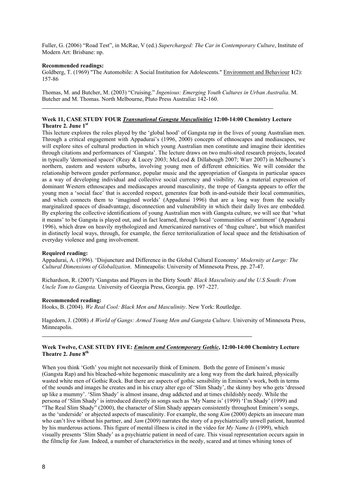Fuller, G. (2006) "Road Test", in McRae, V (ed.) *Supercharged: The Car in Contemporary Culture*, Institute of Modern Art: Brisbane: np.

#### **Recommended readings:**

Goldberg, T. (1969) "The Automobile: A Social Institution for Adolescents." Environment and Behaviour **1**(2): 157-86

Thomas, M. and Butcher, M. (2003) "Cruising." *Ingenious: Emerging Youth Cultures in Urban Australia*. M. Butcher and M. Thomas. North Melbourne, Pluto Press Australia**:** 142-160.

#### **Week 11, CASE STUDY FOUR** *Transnational Gangsta Masculinities* **12:00-14:00 Chemistry Lecture Theatre 2. June 1st**

This lecture explores the roles played by the 'global hood' of Gangsta rap in the lives of young Australian men. Through a critical engagement with Appadurai's (1996, 2000) concepts of ethnoscapes and mediascapes, we will explore sites of cultural production in which young Australian men constitute and imagine their identities through citations and performances of 'Gangsta'. The lecture draws on two multi-sited research projects, located in typically 'demonised spaces' (Reay & Lucey 2003; McLeod & Dillabough 2007; Warr 2007) in Melbourne's northern, eastern and western suburbs, involving young men of different ethnicities. We will consider the relationship between gender performance, popular music and the appropriation of Gangsta in particular spaces as a way of developing individual and collective social currency and visibility. As a material expression of dominant Western ethnoscapes and mediascapes around masculinity, the trope of Gangsta appears to offer the young men a 'social face' that is accorded respect, generates fear both in-and-outside their local communities, and which connects them to 'imagined worlds' (Appadurai 1996) that are a long way from the socially marginalized spaces of disadvantage, disconnection and vulnerability in which their daily lives are embedded. By exploring the collective identifications of young Australian men with Gangsta culture, we will see that 'what it means' to be Gangsta is played out, and in fact learned, through local 'communities of sentiment' (Appadurai 1996), which draw on heavily mythologized and Americanized narratives of 'thug culture', but which manifest in distinctly local ways, through, for example, the fierce territorialization of local space and the fetishisation of everyday violence and gang involvement.

#### **Required reading:**

Appadurai, A. (1996). 'Disjuncture and Difference in the Global Cultural Economy' *Modernity at Large: The Cultural Dimensions of Globalization*. Minneapolis: University of Minnesota Press, pp. 27-47.

Richardson, R. (2007) 'Gangstas and Players in the Dirty South' *Black Masculinity and the U.S South: From Uncle Tom to Gangsta.* University of Georgia Press, Georgia. pp. 197 -227.

#### **Recommended reading:**

Hooks, B. (2004). *We Real Cool: Black Men and Masculinity*. New York: Routledge.

Hagedorn, J. (2008) *A World of Gangs: Armed Young Men and Gangsta Culture.* University of Minnesota Press, Minneapolis.

# **Week Twelve, CASE STUDY FIVE:** *Eminem and Contemporary Gothic***, 12:00-14:00 Chemistry Lecture Theatre 2. June 8th**

When you think 'Goth' you might not necessarily think of Eminem. Both the genre of Eminem's music (Gangsta Rap) and his bleached-white hegemonic masculinity are a long way from the dark haired, physically wasted white men of Gothic Rock. But there are aspects of gothic sensibility in Eminem's work, both in terms of the sounds and images he creates and in his crazy alter ego of 'Slim Shady', the skinny boy who gets 'dressed up like a mummy'. 'Slim Shady' is almost insane, drug addicted and at times childishly needy. While the persona of 'Slim Shady' is introduced directly in songs such as 'My Name is' (1999) 'I'm Shady' (1999) and "The Real Slim Shady" (2000), the character of Slim Shady appears consistently throughout Eminem's songs, as the 'underside' or abjected aspects of masculinity. For example, the song *Kim* (2000) depicts an insecure man who can't live without his partner, and *3am* (2009) narrates the story of a psychiatrically unwell patient, haunted by his murderous actions. This figure of mental illness is cited in the video for *My Name Is* (1999), which visually presents 'Slim Shady' as a psychiatric patient in need of care. This visual representation occurs again in the filmclip for *3am.* Indeed, a number of characteristics in the needy, scared and at times whining tones of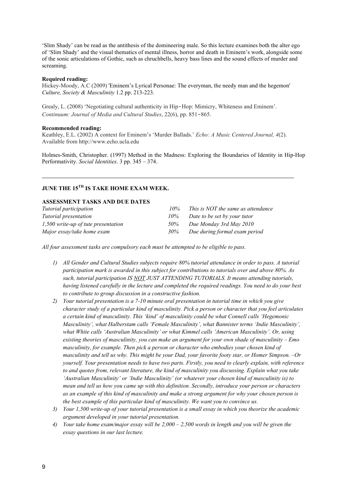'Slim Shady' can be read as the antithesis of the domineering male. So this lecture examines both the alter ego of 'Slim Shady' and the visual thematics of mental illness, horror and death in Eminem's work, alongside some of the sonic articulations of Gothic, such as chruchbells, heavy bass lines and the sound effects of murder and screaming.

#### **Required reading:**

Hickey-Moody, A.C (2009) 'Eminem's Lyrical Personae: The everyman, the needy man and the hegemon' *Culture, Society & Masculinity* 1.2 pp. 213-223.

Grealy, L. (2008) 'Negotiating cultural authenticity in Hip-Hop: Mimicry, Whiteness and Eminem'. *Continuum: Journal of Media and Cultural Studies*, 22(6), pp. 851‐865.

#### **Recommended reading:**

Keathley, E.L. (2002) A context for Eminem's 'Murder Ballads.' *Echo: A Music Centered Journal, 4*(2). Available from http://www.echo.ucla.edu

Holmes-Smith, Christopher. (1997) Method in the Madness: Exploring the Boundaries of Identity in Hip-Hop Performativity. *Social Identities*. 3 pp. 345 – 374.

# **JUNE THE 15TH IS TAKE HOME EXAM WEEK.**

# **ASSESSMENT TASKS AND DUE DATES**

| Tutorial participation                | 10%    | This is NOT the same as attendance |
|---------------------------------------|--------|------------------------------------|
| Tutorial presentation                 | $10\%$ | Date to be set by your tutor       |
| $1,500$ write-up of tute presentation | 50%    | Due Monday 3rd May 2010            |
| Major essay/take home exam            | $30\%$ | Due during formal exam period      |

*All four assessment tasks are compulsory each must be attempted to be eligible to pass.*

- *1) All Gender and Cultural Studies subjects require 80% tutorial attendance in order to pass. A tutorial participation mark is awarded in this subject for contributions to tutorials over and above 80%. As such, tutorial participation IS NOT JUST ATTENDING TUTORIALS. It means attending tutorials, having listened carefully in the lecture and completed the required readings. You need to do your best to contribute to group discussion in a constructive fashion.*
- *2) Your tutorial presentation is a 7-10 minute oral presentation in tutorial time in which you give character study of a particular kind of masculinity. Pick a person or character that you feel articulates a certain kind of masculinity. This 'kind' of masculinity could be what Connell calls 'Hegemonic Masculinity', what Halberstam calls 'Female Masculinity', what Bannister terms 'Indie Masculinity', what White calls 'Australian Masculinity' or what Kimmel calls 'American Masculinity'. Or, using existing theories of masculinity, you can make an argument for your own shade of masculinity – Emo masculinity, for example. Then pick a person or character who embodies your chosen kind of masculinity and tell us why. This might be your Dad, your favorite footy star, or Homer Simpson. –Or yourself. Your presentation needs to have two parts. Firstly, you need to clearly explain, with reference to and quotes from, relevant literature, the kind of masculinity you discussing. Explain what you take 'Australian Masculinity' or 'Indie Masculinity' (or whatever your chosen kind of masculinity is) to mean and tell us how you came up with this definition. Secondly, introduce your person or characters as an example of this kind of masculinity and make a strong argument for why your chosen person is the best example of this particular kind of masculinity. We want you to convince us.*
- *3) Your 1,500 write-up of your tutorial presentation is a small essay in which you theorize the academic argument developed in your tutorial presentation.*
- *4) Your take home exam/major essay will be 2,000 2,500 words in length and you will be given the essay questions in our last lecture.*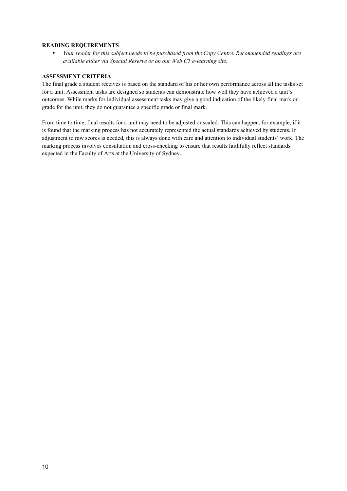# **READING REQUIREMENTS**

• *Your reader for this subject needs to be purchased from the Copy Centre. Recommended readings are available either via Special Reserve or on our Web CT e-learning site.*

# **ASSESSMENT CRITERIA**

The final grade a student receives is based on the standard of his or her own performance across all the tasks set for a unit. Assessment tasks are designed so students can demonstrate how well they have achieved a unit's outcomes. While marks for individual assessment tasks may give a good indication of the likely final mark or grade for the unit, they do not guarantee a specific grade or final mark.

From time to time, final results for a unit may need to be adjusted or scaled. This can happen, for example, if it is found that the marking process has not accurately represented the actual standards achieved by students. If adjustment to raw scores is needed, this is always done with care and attention to individual students' work. The marking process involves consultation and cross-checking to ensure that results faithfully reflect standards expected in the Faculty of Arts at the University of Sydney.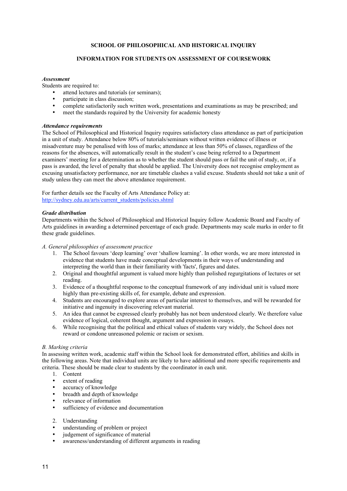# **SCHOOL OF PHILOSOPHICAL AND HISTORICAL INQUIRY**

# **INFORMATION FOR STUDENTS ON ASSESSMENT OF COURSEWORK**

#### *Assessment*

Students are required to:

- attend lectures and tutorials (or seminars);
- participate in class discussion;<br>• complete satisfactorily such way
- complete satisfactorily such written work, presentations and examinations as may be prescribed; and<br>• meet the standards required by the University for academic honesty
- meet the standards required by the University for academic honesty

#### *Attendance requirements*

The School of Philosophical and Historical Inquiry requires satisfactory class attendance as part of participation in a unit of study. Attendance below 80% of tutorials/seminars without written evidence of illness or misadventure may be penalised with loss of marks; attendance at less than 50% of classes, regardless of the reasons for the absences, will automatically result in the student's case being referred to a Department examiners' meeting for a determination as to whether the student should pass or fail the unit of study, or, if a pass is awarded, the level of penalty that should be applied. The University does not recognise employment as excusing unsatisfactory performance, nor are timetable clashes a valid excuse. Students should not take a unit of study unless they can meet the above attendance requirement.

For further details see the Faculty of Arts Attendance Policy at: http://sydney.edu.au/arts/current\_students/policies.shtml

#### *Grade distribution*

Departments within the School of Philosophical and Historical Inquiry follow Academic Board and Faculty of Arts guidelines in awarding a determined percentage of each grade. Departments may scale marks in order to fit these grade guidelines.

#### *A. General philosophies of assessment practice*

- 1. The School favours 'deep learning' over 'shallow learning'. In other words, we are more interested in evidence that students have made conceptual developments in their ways of understanding and interpreting the world than in their familiarity with 'facts', figures and dates.
- 2. Original and thoughtful argument is valued more highly than polished regurgitations of lectures or set reading.
- 3. Evidence of a thoughtful response to the conceptual framework of any individual unit is valued more highly than pre-existing skills of, for example, debate and expression.
- 4. Students are encouraged to explore areas of particular interest to themselves, and will be rewarded for initiative and ingenuity in discovering relevant material.
- 5. An idea that cannot be expressed clearly probably has not been understood clearly. We therefore value evidence of logical, coherent thought, argument and expression in essays.
- 6. While recognising that the political and ethical values of students vary widely, the School does not reward or condone unreasoned polemic or racism or sexism.

#### *B. Marking criteria*

In assessing written work, academic staff within the School look for demonstrated effort, abilities and skills in the following areas. Note that individual units are likely to have additional and more specific requirements and criteria. These should be made clear to students by the coordinator in each unit.

- 1. Content
- extent of reading<br>• accuracy of know
- accuracy of knowledge<br>• hreadth and denth of kn
- breadth and depth of knowledge
- relevance of information<br>• sufficiency of evidence as
- sufficiency of evidence and documentation
- 2. Understanding
- understanding of problem or project
- judgement of significance of material
- awareness/understanding of different arguments in reading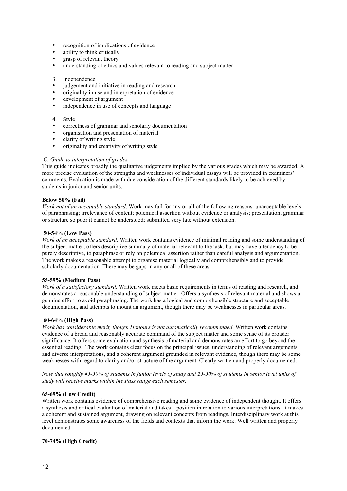- recognition of implications of evidence
- ability to think critically
- grasp of relevant theory
- understanding of ethics and values relevant to reading and subject matter
- 3. Independence
- judgement and initiative in reading and research<br>• originality in use and interpretation of evidence
- originality in use and interpretation of evidence
- development of argument
- independence in use of concepts and language

# 4. Style

- correctness of grammar and scholarly documentation
- organisation and presentation of material<br>
clarity of writing style
- clarity of writing style<br>• criginality and creativi
- originality and creativity of writing style

# *C. Guide to interpretation of grades*

This guide indicates broadly the qualitative judgements implied by the various grades which may be awarded. A more precise evaluation of the strengths and weaknesses of individual essays will be provided in examiners' comments. Evaluation is made with due consideration of the different standards likely to be achieved by students in junior and senior units.

# **Below 50% (Fail)**

*Work not of an acceptable standard*. Work may fail for any or all of the following reasons: unacceptable levels of paraphrasing; irrelevance of content; polemical assertion without evidence or analysis; presentation, grammar or structure so poor it cannot be understood; submitted very late without extension.

# **50-54% (Low Pass)**

*Work of an acceptable standard*. Written work contains evidence of minimal reading and some understanding of the subject matter, offers descriptive summary of material relevant to the task, but may have a tendency to be purely descriptive, to paraphrase or rely on polemical assertion rather than careful analysis and argumentation. The work makes a reasonable attempt to organise material logically and comprehensibly and to provide scholarly documentation. There may be gaps in any or all of these areas.

# **55-59% (Medium Pass)**

*Work of a satisfactory standard*. Written work meets basic requirements in terms of reading and research, and demonstrates a reasonable understanding of subject matter. Offers a synthesis of relevant material and shows a genuine effort to avoid paraphrasing. The work has a logical and comprehensible structure and acceptable documentation, and attempts to mount an argument, though there may be weaknesses in particular areas.

# **60-64% (High Pass)**

*Work has considerable merit, though Honours is not automatically recommended*. Written work contains evidence of a broad and reasonably accurate command of the subject matter and some sense of its broader significance. It offers some evaluation and synthesis of material and demonstrates an effort to go beyond the essential reading. The work contains clear focus on the principal issues, understanding of relevant arguments and diverse interpretations, and a coherent argument grounded in relevant evidence, though there may be some weaknesses with regard to clarity and/or structure of the argument. Clearly written and properly documented.

*Note that roughly 45-50% of students in junior levels of study and 25-50% of students in senior level units of study will receive marks within the Pass range each semester.*

# **65-69% (Low Credit)**

Written work contains evidence of comprehensive reading and some evidence of independent thought. It offers a synthesis and critical evaluation of material and takes a position in relation to various interpretations. It makes a coherent and sustained argument, drawing on relevant concepts from readings. Interdisciplinary work at this level demonstrates some awareness of the fields and contexts that inform the work. Well written and properly documented.

# **70-74% (High Credit)**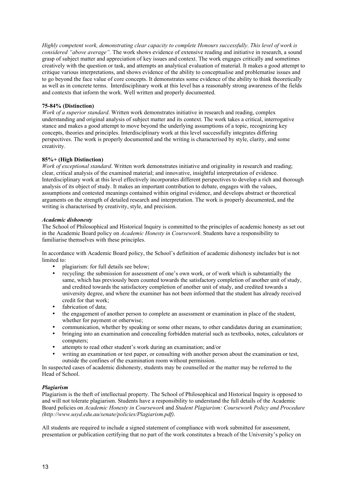*Highly competent work, demonstrating clear capacity to complete Honours successfully*. *This level of work is considered "above average".* The work shows evidence of extensive reading and initiative in research, a sound grasp of subject matter and appreciation of key issues and context. The work engages critically and sometimes creatively with the question or task, and attempts an analytical evaluation of material. It makes a good attempt to critique various interpretations, and shows evidence of the ability to conceptualise and problematise issues and to go beyond the face value of core concepts. It demonstrates some evidence of the ability to think theoretically as well as in concrete terms. Interdisciplinary work at this level has a reasonably strong awareness of the fields and contexts that inform the work. Well written and properly documented.

# **75-84% (Distinction)**

*Work of a superior standard*. Written work demonstrates initiative in research and reading, complex understanding and original analysis of subject matter and its context. The work takes a critical, interrogative stance and makes a good attempt to move beyond the underlying assumptions of a topic, recognizing key concepts, theories and principles. Interdisciplinary work at this level successfully integrates differing perspectives. The work is properly documented and the writing is characterised by style, clarity, and some creativity.

# **85%+ (High Distinction)**

*Work of exceptional standard*. Written work demonstrates initiative and originality in research and reading; clear, critical analysis of the examined material; and innovative, insightful interpretation of evidence. Interdisciplinary work at this level effectively incorporates different perspectives to develop a rich and thorough analysis of its object of study. It makes an important contribution to debate, engages with the values, assumptions and contested meanings contained within original evidence, and develops abstract or theoretical arguments on the strength of detailed research and interpretation. The work is properly documented, and the writing is characterised by creativity, style, and precision.

# *Academic dishonesty*

The School of Philosophical and Historical Inquiry is committed to the principles of academic honesty as set out in the Academic Board policy on *Academic Honesty in Coursework*. Students have a responsibility to familiarise themselves with these principles.

In accordance with Academic Board policy, the School's definition of academic dishonesty includes but is not limited to:

- plagiarism: for full details see below;
- recycling: the submission for assessment of one's own work, or of work which is substantially the same, which has previously been counted towards the satisfactory completion of another unit of study, and credited towards the satisfactory completion of another unit of study, and credited towards a university degree, and where the examiner has not been informed that the student has already received credit for that work;
- fabrication of data;
- the engagement of another person to complete an assessment or examination in place of the student, whether for payment or otherwise;
- communication, whether by speaking or some other means, to other candidates during an examination;
- bringing into an examination and concealing forbidden material such as textbooks, notes, calculators or computers;
- attempts to read other student's work during an examination; and/or
- writing an examination or test paper, or consulting with another person about the examination or test, outside the confines of the examination room without permission.

In suspected cases of academic dishonesty, students may be counselled or the matter may be referred to the Head of School.

# *Plagiarism*

Plagiarism is the theft of intellectual property. The School of Philosophical and Historical Inquiry is opposed to and will not tolerate plagiarism. Students have a responsibility to understand the full details of the Academic Board policies on *Academic Honesty in Coursework* and *Student Plagiarism: Coursework Policy and Procedure (http://www.usyd.edu.au/senate/policies/Plagiarism.pdf)*.

All students are required to include a signed statement of compliance with work submitted for assessment, presentation or publication certifying that no part of the work constitutes a breach of the University's policy on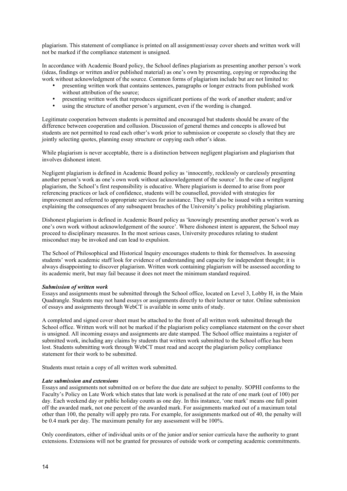plagiarism. This statement of compliance is printed on all assignment/essay cover sheets and written work will not be marked if the compliance statement is unsigned.

In accordance with Academic Board policy, the School defines plagiarism as presenting another person's work (ideas, findings or written and/or published material) as one's own by presenting, copying or reproducing the work without acknowledgment of the source. Common forms of plagiarism include but are not limited to:

- presenting written work that contains sentences, paragraphs or longer extracts from published work without attribution of the source;
- presenting written work that reproduces significant portions of the work of another student; and/or
- using the structure of another person's argument, even if the wording is changed.

Legitimate cooperation between students is permitted and encouraged but students should be aware of the difference between cooperation and collusion. Discussion of general themes and concepts is allowed but students are not permitted to read each other's work prior to submission or cooperate so closely that they are jointly selecting quotes, planning essay structure or copying each other's ideas.

While plagiarism is never acceptable, there is a distinction between negligent plagiarism and plagiarism that involves dishonest intent.

Negligent plagiarism is defined in Academic Board policy as 'innocently, recklessly or carelessly presenting another person's work as one's own work without acknowledgement of the source'. In the case of negligent plagiarism, the School's first responsibility is educative. Where plagiarism is deemed to arise from poor referencing practices or lack of confidence, students will be counselled, provided with strategies for improvement and referred to appropriate services for assistance. They will also be issued with a written warning explaining the consequences of any subsequent breaches of the University's policy prohibiting plagiarism.

Dishonest plagiarism is defined in Academic Board policy as 'knowingly presenting another person's work as one's own work without acknowledgement of the source'. Where dishonest intent is apparent, the School may proceed to disciplinary measures. In the most serious cases, University procedures relating to student misconduct may be invoked and can lead to expulsion.

The School of Philosophical and Historical Inquiry encourages students to think for themselves. In assessing students' work academic staff look for evidence of understanding and capacity for independent thought; it is always disappointing to discover plagiarism. Written work containing plagiarism will be assessed according to its academic merit, but may fail because it does not meet the minimum standard required.

# *Submission of written work*

Essays and assignments must be submitted through the School office, located on Level 3, Lobby H, in the Main Quadrangle. Students may not hand essays or assignments directly to their lecturer or tutor. Online submission of essays and assignments through WebCT is available in some units of study.

A completed and signed cover sheet must be attached to the front of all written work submitted through the School office. Written work will not be marked if the plagiarism policy compliance statement on the cover sheet is unsigned. All incoming essays and assignments are date stamped. The School office maintains a register of submitted work, including any claims by students that written work submitted to the School office has been lost. Students submitting work through WebCT must read and accept the plagiarism policy compliance statement for their work to be submitted.

Students must retain a copy of all written work submitted.

#### *Late submission and extensions*

Essays and assignments not submitted on or before the due date are subject to penalty. SOPHI conforms to the Faculty's Policy on Late Work which states that late work is penalised at the rate of one mark (out of 100) per day. Each weekend day or public holiday counts as one day. In this instance, 'one mark' means one full point off the awarded mark, not one percent of the awarded mark. For assignments marked out of a maximum total other than 100, the penalty will apply pro rata. For example, for assignments marked out of 40, the penalty will be 0.4 mark per day. The maximum penalty for any assessment will be 100%.

Only coordinators, either of individual units or of the junior and/or senior curricula have the authority to grant extensions. Extensions will not be granted for pressures of outside work or competing academic commitments.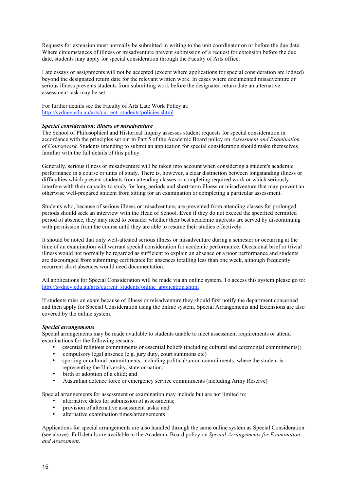Requests for extension must normally be submitted in writing to the unit coordinator on or before the due date. Where circumstances of illness or misadventure prevent submission of a request for extension before the due date, students may apply for special consideration through the Faculty of Arts office.

Late essays or assignments will not be accepted (except where applications for special consideration are lodged) beyond the designated return date for the relevant written work. In cases where documented misadventure or serious illness prevents students from submitting work before the designated return date an alternative assessment task may be set.

For further details see the Faculty of Arts Late Work Policy at: http://sydney.edu.au/arts/current\_students/policies.shtml

# *Special consideration: illness or misadventure*

The School of Philosophical and Historical Inquiry assesses student requests for special consideration in accordance with the principles set out in Part 5 of the Academic Board policy on *Assessment and Examination of Coursework*. Students intending to submit an application for special consideration should make themselves familiar with the full details of this policy.

Generally, serious illness or misadventure will be taken into account when considering a student's academic performance in a course or units of study. There is, however, a clear distinction between longstanding illness or difficulties which prevent students from attending classes or completing required work or which seriously interfere with their capacity to study for long periods and short-term illness or misadventure that may prevent an otherwise well-prepared student from sitting for an examination or completing a particular assessment.

Students who, because of serious illness or misadventure, are prevented from attending classes for prolonged periods should seek an interview with the Head of School. Even if they do not exceed the specified permitted period of absence, they may need to consider whether their best academic interests are served by discontinuing with permission from the course until they are able to resume their studies effectively.

It should be noted that only well-attested serious illness or misadventure during a semester or occurring at the time of an examination will warrant special consideration for academic performance. Occasional brief or trivial illness would not normally be regarded as sufficient to explain an absence or a poor performance and students are discouraged from submitting certificates for absences totalling less than one week, although frequently recurrent short absences would need documentation.

All applications for Special Consideration will be made via an online system. To access this system please go to: http://sydney.edu.au/arts/current\_students/online\_application.shtml

If students miss an exam because of illness or misadventure they should first notify the department concerned and then apply for Special Consideration using the online system. Special Arrangements and Extensions are also covered by the online system.

# *Special arrangements*

Special arrangements may be made available to students unable to meet assessment requirements or attend examinations for the following reasons:

- essential religious commitments or essential beliefs (including cultural and ceremonial commitments);
- compulsory legal absence (e.g. jury duty, court summons etc)
- sporting or cultural commitments, including political/union commitments, where the student is representing the University, state or nation;
- birth or adoption of a child; and
- Australian defence force or emergency service commitments (including Army Reserve)

Special arrangements for assessment or examination may include but are not limited to:

- alternative dates for submission of assessments;<br>• provision of alternative assessment tasks: and
- provision of alternative assessment tasks; and
- alternative examination times/arrangements

Applications for special arrangements are also handled through the same online system as Special Consideration (see above). Full details are available in the Academic Board policy on *Special Arrangements for Examination and Assessment*.